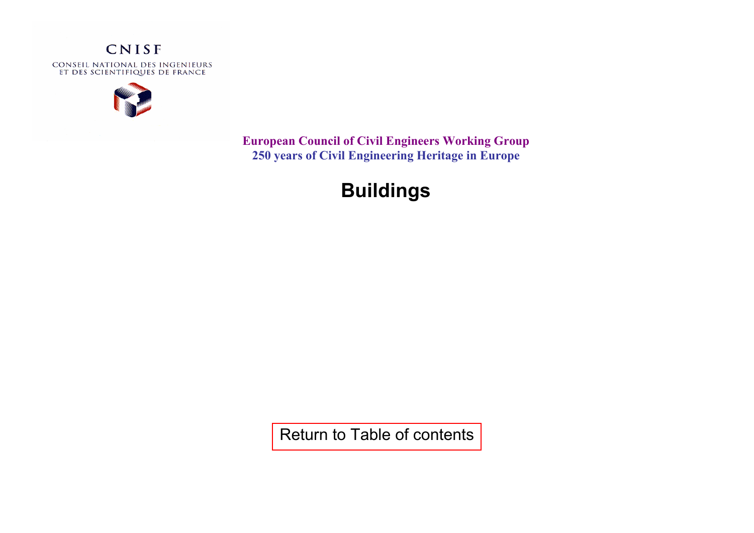

**European Council of Civil Engineers Working Group 250 years of Civil Engineering Heritage in Europe** 

# **Buildings**

[Return to Table of contents](http://www.iesf.fr/upload/pdf/civil_engineering_heritage.pdf)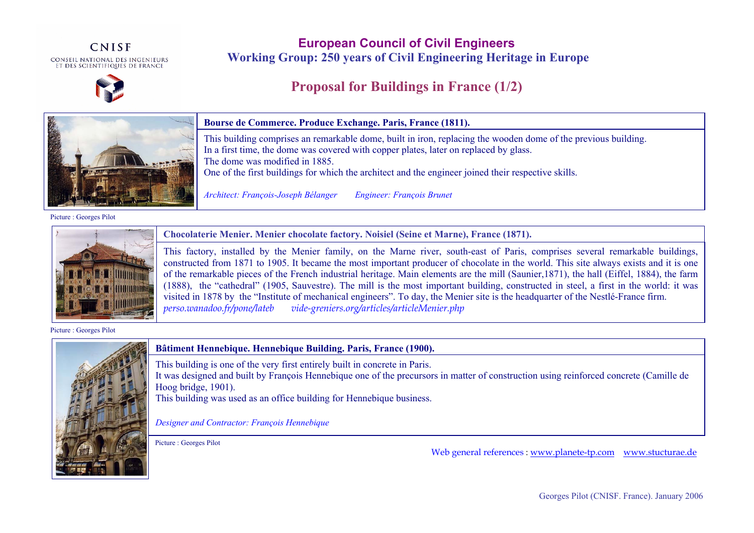CNISF CONSEIL NATIONAL DES INGENIEURS<br>Et des scientifiques de France



**European Council of Civil Engineers Working Group: 250 years of Civil Engineering Heritage in Europe**

### **Proposal for Buildings in France (1/2)**



Picture : Georges Pilot



**Chocolaterie Menier. Menier chocolate factory. Noisiel (Seine et Marne), France (1871).** 

This factory, installed by the Menier family, on the Marne river, south-east of Paris, comprises several remarkable buildings, constructed from 1871 to 1905. It became the most important producer of chocolate in the world. This site always exists and it is one of the remarkable pieces of the French industrial heritage. Main elements are the mill (Saunier,1871), the hall (Eiffel, 1884), the farm (1888), the "cathedral" (1905, Sauvestre). The mill is the most important building, constructed in steel, a first in the world: it was visited in 1878 by the "Institute of mechanical engineers". To day, the Menier site is the headquarter of the Nestlé-France firm.<br>perso.wanadoo.fr/pone/lateb vide-greniers.org/articles/articleMenier.php *perso.wanadoo.fr/pone/lateb vide-greniers.org/articles/articleMenier.php* 

Picture : Georges Pilot



**Bâtiment Hennebique. Hennebique Building. Paris, France (1900).** 

This building is one of the very first entirely built in concrete in Paris.

It was designed and built by François Hennebique one of the precursors in matter of construction using reinforced concrete (Camille de Hoog bridge, 1901).

This building was used as an office building for Hennebique business.

*Designer and Contractor: François Hennebique* 

Picture : Georges Pilot

Web general references : www.planete-tp.com www.stucturae.de